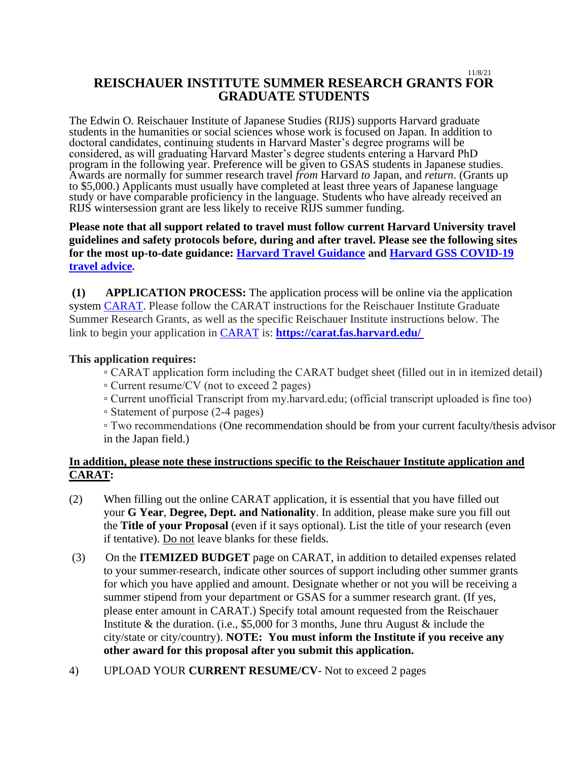#### 11/8/21 **REISCHAUER INSTITUTE SUMMER RESEARCH GRANTS FOR GRADUATE STUDENTS**

The Edwin O. Reischauer Institute of Japanese Studies (RIJS) supports Harvard graduate students in the humanities or social sciences whose work is focused on Japan. In addition to doctoral candidates, continuing students in Harvard Master's degree programs will be considered, as will graduating Harvard Master's degree students entering a Harvard PhD program in the following year. Preference will be given to GSAS students in Japanese studies. Awards are normally for summer research travel *from* Harvard *to* Japan, and *return*. (Grants up to \$5,000.) Applicants must usually have completed at least three years of Japanese language study or have comparable proficiency in the language. Students who have already received an RIJS wintersession grant are less likely to receive RIJS summer funding.

## **Please note that all support related to travel must follow current Harvard University travel guidelines and safety protocols before, during and after travel. Please see the following sites for the most up-to-date guidance: [Harvard Travel Guidance](https://www.harvard.edu/coronavirus/travel-guidance) and [Harvard GSS COVID-19](https://www.globalsupport.harvard.edu/news-advice/coronavirus-advice-travelers)  [travel advice.](https://www.globalsupport.harvard.edu/news-advice/coronavirus-advice-travelers)**

**(1) APPLICATION PROCESS:** The application process will be online via the application system [CARAT.](https://carat.fas.harvard.edu/) Please follow the CARAT instructions for the Reischauer Institute Graduate Summer Research Grants, as well as the specific Reischauer Institute instructions below. The link to begin your application in [CARAT](https://carat.fas.harvard.edu/) is: **[https://carat.fas.harvard.edu/](https://carat.fas.harvard.edu/ )**

## **This application requires:**

▫ CARAT application form including the CARAT budget sheet (filled out in in itemized detail)

- Current resume/CV (not to exceed 2 pages)
- Current unofficial Transcript from my.harvard.edu; (official transcript uploaded is fine too)
- Statement of purpose (2-4 pages)

▫ Two recommendations (One recommendation should be from your current faculty/thesis advisor in the Japan field.)

# **In addition, please note these instructions specific to the Reischauer Institute application and CARAT:**

- (2) When filling out the online CARAT application, it is essential that you have filled out your **G Year**, **Degree, Dept. and Nationality**. In addition, please make sure you fill out the **Title of your Proposal** (even if it says optional). List the title of your research (even if tentative). Do not leave blanks for these fields.
- (3) On the **ITEMIZED BUDGET** page on CARAT, in addition to detailed expenses related to your summer research, indicate other sources of support including other summer grants for which you have applied and amount. Designate whether or not you will be receiving a summer stipend from your department or GSAS for a summer research grant. (If yes, please enter amount in CARAT.) Specify total amount requested from the Reischauer Institute & the duration. (i.e., \$5,000 for 3 months, June thru August  $\&$  include the city/state or city/country). **NOTE: You must inform the Institute if you receive any other award for this proposal after you submit this application.**
- 4) UPLOAD YOUR **CURRENT RESUME/CV** Not to exceed 2 pages